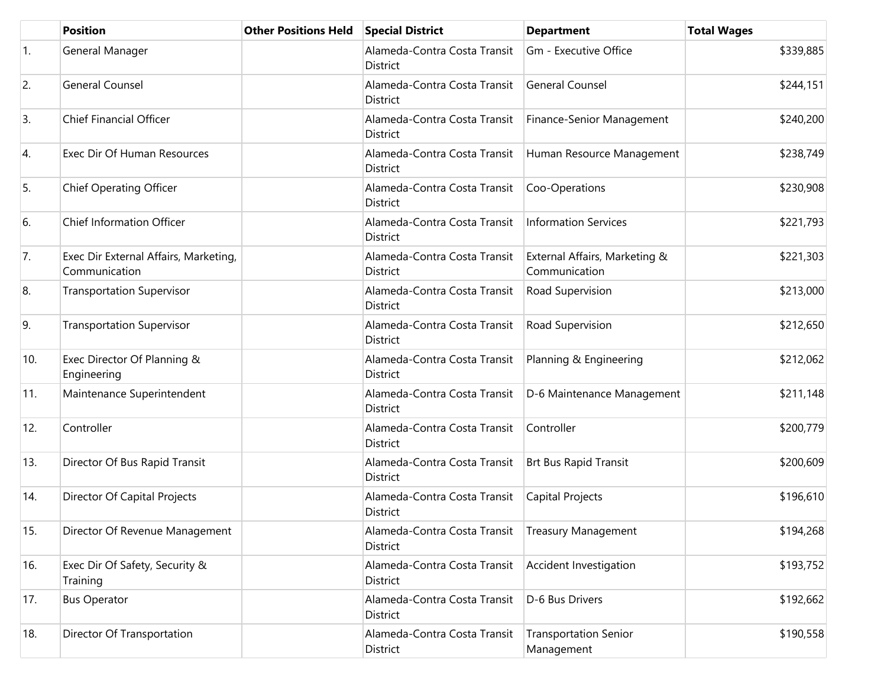|     | <b>Position</b>                                        | <b>Other Positions Held</b> | <b>Special District</b>                  | <b>Department</b>                              | <b>Total Wages</b> |
|-----|--------------------------------------------------------|-----------------------------|------------------------------------------|------------------------------------------------|--------------------|
| 1.  | General Manager                                        |                             | Alameda-Contra Costa Transit<br>District | Gm - Executive Office                          | \$339,885          |
| 2.  | <b>General Counsel</b>                                 |                             | Alameda-Contra Costa Transit<br>District | <b>General Counsel</b>                         | \$244,151          |
| 3.  | Chief Financial Officer                                |                             | Alameda-Contra Costa Transit<br>District | Finance-Senior Management                      | \$240,200          |
| 4.  | Exec Dir Of Human Resources                            |                             | Alameda-Contra Costa Transit<br>District | Human Resource Management                      | \$238,749          |
| 5.  | <b>Chief Operating Officer</b>                         |                             | Alameda-Contra Costa Transit<br>District | Coo-Operations                                 | \$230,908          |
| 6.  | <b>Chief Information Officer</b>                       |                             | Alameda-Contra Costa Transit<br>District | <b>Information Services</b>                    | \$221,793          |
| 7.  | Exec Dir External Affairs, Marketing,<br>Communication |                             | Alameda-Contra Costa Transit<br>District | External Affairs, Marketing &<br>Communication | \$221,303          |
| 8.  | <b>Transportation Supervisor</b>                       |                             | Alameda-Contra Costa Transit<br>District | Road Supervision                               | \$213,000          |
| 9.  | <b>Transportation Supervisor</b>                       |                             | Alameda-Contra Costa Transit<br>District | Road Supervision                               | \$212,650          |
| 10. | Exec Director Of Planning &<br>Engineering             |                             | Alameda-Contra Costa Transit<br>District | Planning & Engineering                         | \$212,062          |
| 11. | Maintenance Superintendent                             |                             | Alameda-Contra Costa Transit<br>District | D-6 Maintenance Management                     | \$211,148          |
| 12. | Controller                                             |                             | Alameda-Contra Costa Transit<br>District | Controller                                     | \$200,779          |
| 13. | Director Of Bus Rapid Transit                          |                             | Alameda-Contra Costa Transit<br>District | <b>Brt Bus Rapid Transit</b>                   | \$200,609          |
| 14. | Director Of Capital Projects                           |                             | Alameda-Contra Costa Transit<br>District | Capital Projects                               | \$196,610          |
| 15. | Director Of Revenue Management                         |                             | Alameda-Contra Costa Transit<br>District | <b>Treasury Management</b>                     | \$194,268          |
| 16. | Exec Dir Of Safety, Security &<br>Training             |                             | Alameda-Contra Costa Transit<br>District | Accident Investigation                         | \$193,752          |
| 17. | <b>Bus Operator</b>                                    |                             | Alameda-Contra Costa Transit<br>District | D-6 Bus Drivers                                | \$192,662          |
| 18. | Director Of Transportation                             |                             | Alameda-Contra Costa Transit<br>District | <b>Transportation Senior</b><br>Management     | \$190,558          |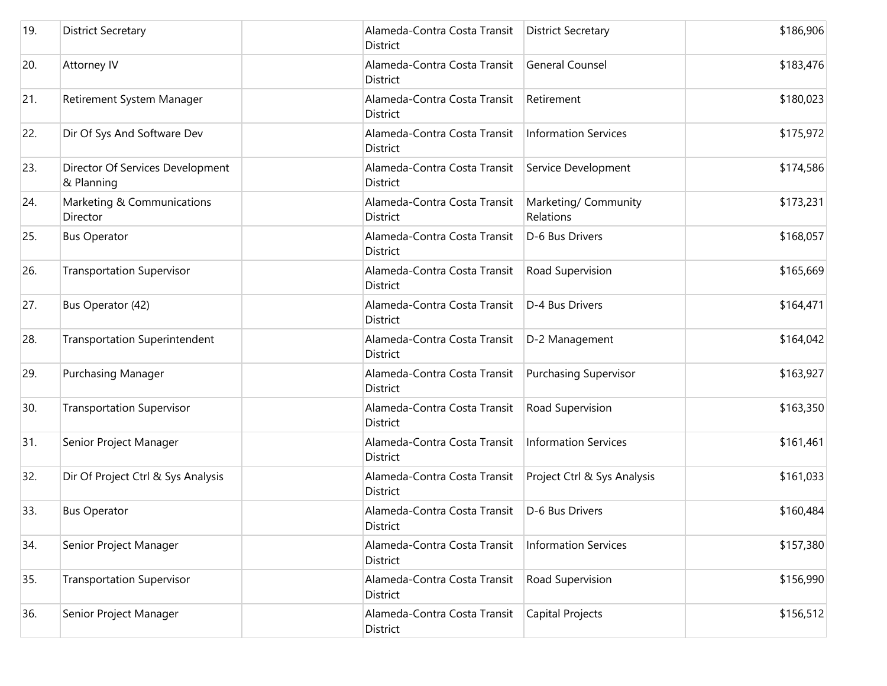| 19. | <b>District Secretary</b>                      | Alameda-Contra Costa Transit<br>District        | <b>District Secretary</b>         | \$186,906 |
|-----|------------------------------------------------|-------------------------------------------------|-----------------------------------|-----------|
| 20. | Attorney IV                                    | Alameda-Contra Costa Transit<br>District        | <b>General Counsel</b>            | \$183,476 |
| 21. | Retirement System Manager                      | Alameda-Contra Costa Transit<br>District        | Retirement                        | \$180,023 |
| 22. | Dir Of Sys And Software Dev                    | Alameda-Contra Costa Transit<br><b>District</b> | <b>Information Services</b>       | \$175,972 |
| 23. | Director Of Services Development<br>& Planning | Alameda-Contra Costa Transit<br>District        | Service Development               | \$174,586 |
| 24. | Marketing & Communications<br>Director         | Alameda-Contra Costa Transit<br>District        | Marketing/ Community<br>Relations | \$173,231 |
| 25. | <b>Bus Operator</b>                            | Alameda-Contra Costa Transit<br>District        | D-6 Bus Drivers                   | \$168,057 |
| 26. | <b>Transportation Supervisor</b>               | Alameda-Contra Costa Transit<br>District        | Road Supervision                  | \$165,669 |
| 27. | Bus Operator (42)                              | Alameda-Contra Costa Transit<br>District        | D-4 Bus Drivers                   | \$164,471 |
| 28. | <b>Transportation Superintendent</b>           | Alameda-Contra Costa Transit<br>District        | D-2 Management                    | \$164,042 |
| 29. | <b>Purchasing Manager</b>                      | Alameda-Contra Costa Transit<br>District        | <b>Purchasing Supervisor</b>      | \$163,927 |
| 30. | <b>Transportation Supervisor</b>               | Alameda-Contra Costa Transit<br>District        | Road Supervision                  | \$163,350 |
| 31. | Senior Project Manager                         | Alameda-Contra Costa Transit<br>District        | <b>Information Services</b>       | \$161,461 |
| 32. | Dir Of Project Ctrl & Sys Analysis             | Alameda-Contra Costa Transit<br><b>District</b> | Project Ctrl & Sys Analysis       | \$161,033 |
| 33. | <b>Bus Operator</b>                            | Alameda-Contra Costa Transit<br>District        | D-6 Bus Drivers                   | \$160,484 |
| 34. | Senior Project Manager                         | Alameda-Contra Costa Transit<br>District        | <b>Information Services</b>       | \$157,380 |
| 35. | <b>Transportation Supervisor</b>               | Alameda-Contra Costa Transit<br>District        | Road Supervision                  | \$156,990 |
| 36. | Senior Project Manager                         | Alameda-Contra Costa Transit<br>District        | Capital Projects                  | \$156,512 |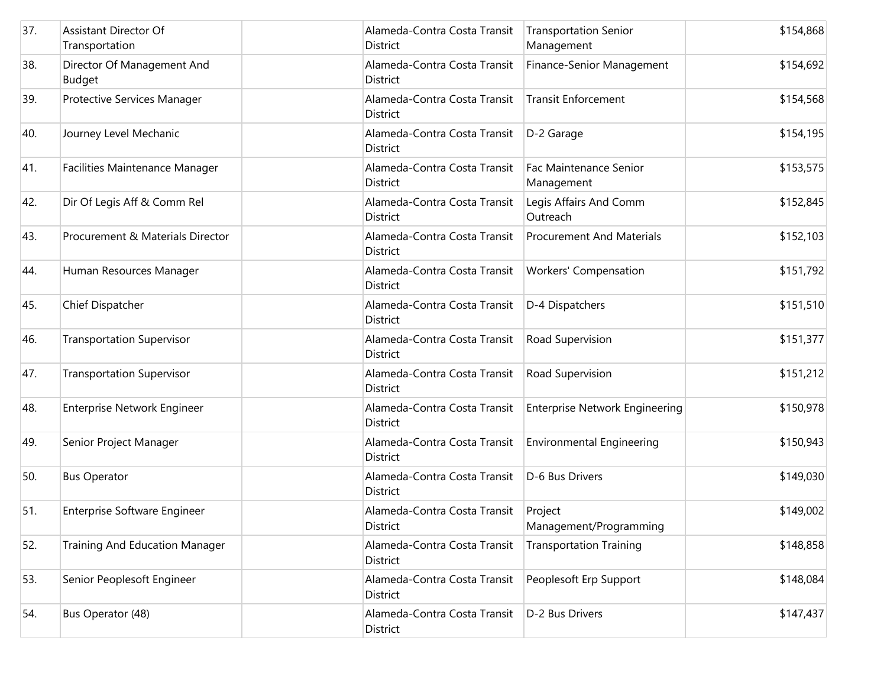| 37. | Assistant Director Of<br>Transportation     | Alameda-Contra Costa Transit<br>District | <b>Transportation Senior</b><br>Management | \$154,868 |
|-----|---------------------------------------------|------------------------------------------|--------------------------------------------|-----------|
| 38. | Director Of Management And<br><b>Budget</b> | Alameda-Contra Costa Transit<br>District | Finance-Senior Management                  | \$154,692 |
| 39. | Protective Services Manager                 | Alameda-Contra Costa Transit<br>District | <b>Transit Enforcement</b>                 | \$154,568 |
| 40. | Journey Level Mechanic                      | Alameda-Contra Costa Transit<br>District | D-2 Garage                                 | \$154,195 |
| 41. | Facilities Maintenance Manager              | Alameda-Contra Costa Transit<br>District | Fac Maintenance Senior<br>Management       | \$153,575 |
| 42. | Dir Of Legis Aff & Comm Rel                 | Alameda-Contra Costa Transit<br>District | Legis Affairs And Comm<br>Outreach         | \$152,845 |
| 43. | Procurement & Materials Director            | Alameda-Contra Costa Transit<br>District | <b>Procurement And Materials</b>           | \$152,103 |
| 44. | Human Resources Manager                     | Alameda-Contra Costa Transit<br>District | Workers' Compensation                      | \$151,792 |
| 45. | Chief Dispatcher                            | Alameda-Contra Costa Transit<br>District | D-4 Dispatchers                            | \$151,510 |
| 46. | <b>Transportation Supervisor</b>            | Alameda-Contra Costa Transit<br>District | Road Supervision                           | \$151,377 |
| 47. | <b>Transportation Supervisor</b>            | Alameda-Contra Costa Transit<br>District | Road Supervision                           | \$151,212 |
| 48. | Enterprise Network Engineer                 | Alameda-Contra Costa Transit<br>District | <b>Enterprise Network Engineering</b>      | \$150,978 |
| 49. | Senior Project Manager                      | Alameda-Contra Costa Transit<br>District | <b>Environmental Engineering</b>           | \$150,943 |
| 50. | <b>Bus Operator</b>                         | Alameda-Contra Costa Transit<br>District | D-6 Bus Drivers                            | \$149,030 |
| 51. | <b>Enterprise Software Engineer</b>         | Alameda-Contra Costa Transit<br>District | Project<br>Management/Programming          | \$149,002 |
| 52. | <b>Training And Education Manager</b>       | Alameda-Contra Costa Transit<br>District | <b>Transportation Training</b>             | \$148,858 |
| 53. | Senior Peoplesoft Engineer                  | Alameda-Contra Costa Transit<br>District | Peoplesoft Erp Support                     | \$148,084 |
| 54. | Bus Operator (48)                           | Alameda-Contra Costa Transit<br>District | D-2 Bus Drivers                            | \$147,437 |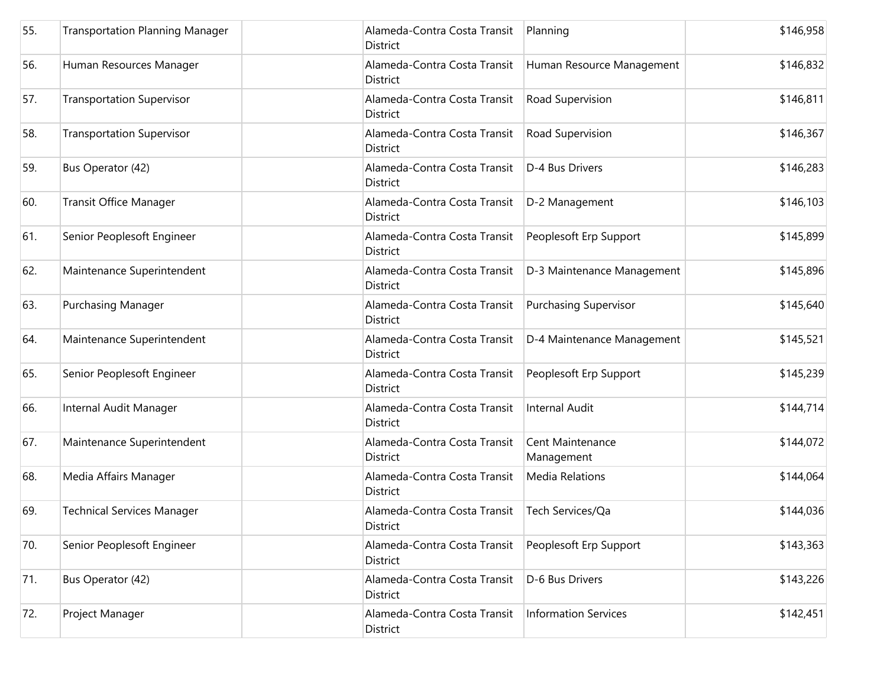| 55. | <b>Transportation Planning Manager</b> | Alameda-Contra Costa Transit<br>District        | Planning                       | \$146,958 |
|-----|----------------------------------------|-------------------------------------------------|--------------------------------|-----------|
| 56. | Human Resources Manager                | Alameda-Contra Costa Transit<br>District        | Human Resource Management      | \$146,832 |
| 57. | <b>Transportation Supervisor</b>       | Alameda-Contra Costa Transit<br>District        | Road Supervision               | \$146,811 |
| 58. | <b>Transportation Supervisor</b>       | Alameda-Contra Costa Transit<br>District        | Road Supervision               | \$146,367 |
| 59. | Bus Operator (42)                      | Alameda-Contra Costa Transit<br>District        | D-4 Bus Drivers                | \$146,283 |
| 60. | Transit Office Manager                 | Alameda-Contra Costa Transit<br>District        | D-2 Management                 | \$146,103 |
| 61. | Senior Peoplesoft Engineer             | Alameda-Contra Costa Transit<br><b>District</b> | Peoplesoft Erp Support         | \$145,899 |
| 62. | Maintenance Superintendent             | Alameda-Contra Costa Transit<br>District        | D-3 Maintenance Management     | \$145,896 |
| 63. | <b>Purchasing Manager</b>              | Alameda-Contra Costa Transit<br><b>District</b> | <b>Purchasing Supervisor</b>   | \$145,640 |
| 64. | Maintenance Superintendent             | Alameda-Contra Costa Transit<br>District        | D-4 Maintenance Management     | \$145,521 |
| 65. | Senior Peoplesoft Engineer             | Alameda-Contra Costa Transit<br>District        | Peoplesoft Erp Support         | \$145,239 |
| 66. | Internal Audit Manager                 | Alameda-Contra Costa Transit<br>District        | <b>Internal Audit</b>          | \$144,714 |
| 67. | Maintenance Superintendent             | Alameda-Contra Costa Transit<br>District        | Cent Maintenance<br>Management | \$144,072 |
| 68. | Media Affairs Manager                  | Alameda-Contra Costa Transit<br>District        | <b>Media Relations</b>         | \$144,064 |
| 69. | <b>Technical Services Manager</b>      | Alameda-Contra Costa Transit<br>District        | Tech Services/Qa               | \$144,036 |
| 70. | Senior Peoplesoft Engineer             | Alameda-Contra Costa Transit<br>District        | Peoplesoft Erp Support         | \$143,363 |
| 71. | Bus Operator (42)                      | Alameda-Contra Costa Transit<br>District        | D-6 Bus Drivers                | \$143,226 |
| 72. | Project Manager                        | Alameda-Contra Costa Transit<br>District        | <b>Information Services</b>    | \$142,451 |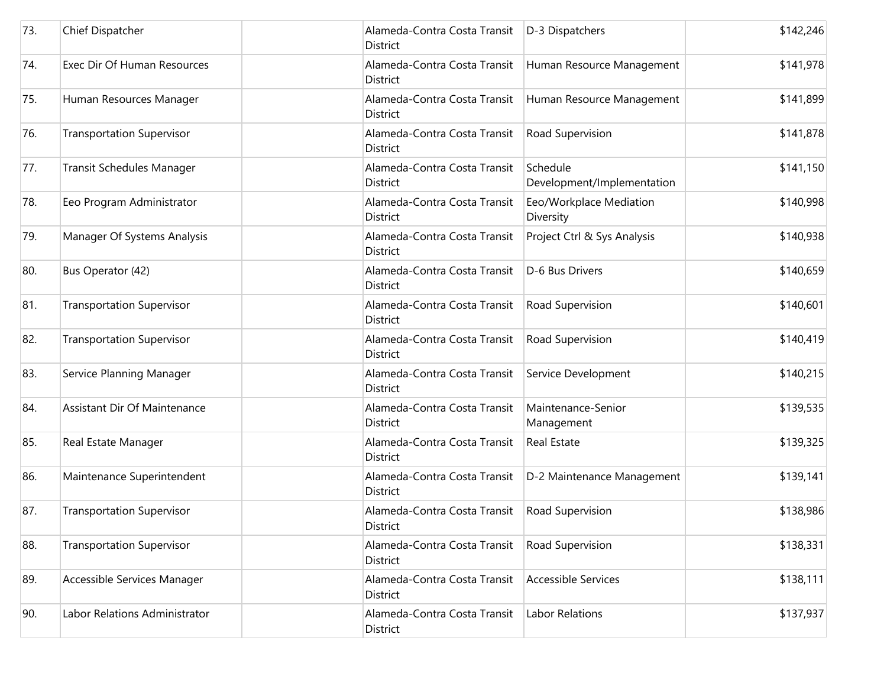| 73. | Chief Dispatcher                 | Alameda-Contra Costa Transit<br>District        | D-3 Dispatchers                        | \$142,246 |
|-----|----------------------------------|-------------------------------------------------|----------------------------------------|-----------|
| 74. | Exec Dir Of Human Resources      | Alameda-Contra Costa Transit<br>District        | Human Resource Management              | \$141,978 |
| 75. | Human Resources Manager          | Alameda-Contra Costa Transit<br>District        | Human Resource Management              | \$141,899 |
| 76. | <b>Transportation Supervisor</b> | Alameda-Contra Costa Transit<br>District        | Road Supervision                       | \$141,878 |
| 77. | Transit Schedules Manager        | Alameda-Contra Costa Transit<br><b>District</b> | Schedule<br>Development/Implementation | \$141,150 |
| 78. | Eeo Program Administrator        | Alameda-Contra Costa Transit<br>District        | Eeo/Workplace Mediation<br>Diversity   | \$140,998 |
| 79. | Manager Of Systems Analysis      | Alameda-Contra Costa Transit<br><b>District</b> | Project Ctrl & Sys Analysis            | \$140,938 |
| 80. | Bus Operator (42)                | Alameda-Contra Costa Transit<br>District        | D-6 Bus Drivers                        | \$140,659 |
| 81. | <b>Transportation Supervisor</b> | Alameda-Contra Costa Transit<br>District        | Road Supervision                       | \$140,601 |
| 82. | <b>Transportation Supervisor</b> | Alameda-Contra Costa Transit<br>District        | Road Supervision                       | \$140,419 |
| 83. | Service Planning Manager         | Alameda-Contra Costa Transit<br>District        | Service Development                    | \$140,215 |
| 84. | Assistant Dir Of Maintenance     | Alameda-Contra Costa Transit<br>District        | Maintenance-Senior<br>Management       | \$139,535 |
| 85. | Real Estate Manager              | Alameda-Contra Costa Transit<br>District        | Real Estate                            | \$139,325 |
| 86. | Maintenance Superintendent       | Alameda-Contra Costa Transit<br><b>District</b> | D-2 Maintenance Management             | \$139,141 |
| 87. | <b>Transportation Supervisor</b> | Alameda-Contra Costa Transit<br>District        | Road Supervision                       | \$138,986 |
| 88. | <b>Transportation Supervisor</b> | Alameda-Contra Costa Transit<br>District        | Road Supervision                       | \$138,331 |
| 89. | Accessible Services Manager      | Alameda-Contra Costa Transit<br>District        | <b>Accessible Services</b>             | \$138,111 |
| 90. | Labor Relations Administrator    | Alameda-Contra Costa Transit<br>District        | <b>Labor Relations</b>                 | \$137,937 |